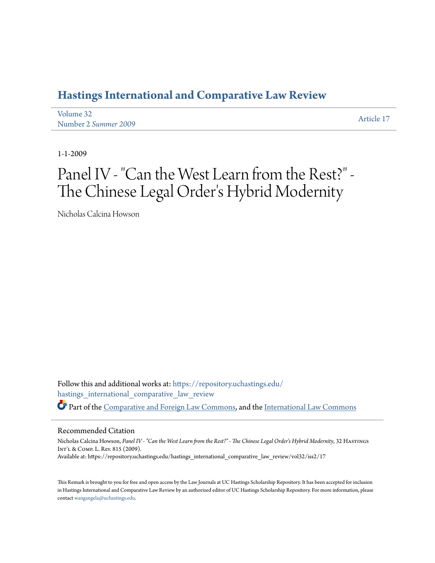### **[Hastings International and Comparative Law Review](https://repository.uchastings.edu/hastings_international_comparative_law_review?utm_source=repository.uchastings.edu%2Fhastings_international_comparative_law_review%2Fvol32%2Fiss2%2F17&utm_medium=PDF&utm_campaign=PDFCoverPages)**

| Volume 32            | Article 17 |
|----------------------|------------|
| Number 2 Summer 2009 |            |

1-1-2009

# Panel IV - "Can the West Learn from the Rest?" - The Chinese Legal Order 's Hybrid Modernity

Nicholas Calcina Howson

Follow this and additional works at: [https://repository.uchastings.edu/](https://repository.uchastings.edu/hastings_international_comparative_law_review?utm_source=repository.uchastings.edu%2Fhastings_international_comparative_law_review%2Fvol32%2Fiss2%2F17&utm_medium=PDF&utm_campaign=PDFCoverPages) [hastings\\_international\\_comparative\\_law\\_review](https://repository.uchastings.edu/hastings_international_comparative_law_review?utm_source=repository.uchastings.edu%2Fhastings_international_comparative_law_review%2Fvol32%2Fiss2%2F17&utm_medium=PDF&utm_campaign=PDFCoverPages) Part of the [Comparative and Foreign Law Commons](http://network.bepress.com/hgg/discipline/836?utm_source=repository.uchastings.edu%2Fhastings_international_comparative_law_review%2Fvol32%2Fiss2%2F17&utm_medium=PDF&utm_campaign=PDFCoverPages), and the [International Law Commons](http://network.bepress.com/hgg/discipline/609?utm_source=repository.uchastings.edu%2Fhastings_international_comparative_law_review%2Fvol32%2Fiss2%2F17&utm_medium=PDF&utm_campaign=PDFCoverPages)

#### Recommended Citation

Nicholas Calcina Howson, Panel IV - "Can the West Learn from the Rest?" - The Chinese Legal Order's Hybrid Modernity, 32 HASTINGS Int'l & Comp. L. Rev. 815 (2009). Available at: https://repository.uchastings.edu/hastings\_international\_comparative\_law\_review/vol32/iss2/17

This Remark is brought to you for free and open access by the Law Journals at UC Hastings Scholarship Repository. It has been accepted for inclusion in Hastings International and Comparative Law Review by an authorized editor of UC Hastings Scholarship Repository. For more information, please contact [wangangela@uchastings.edu](mailto:wangangela@uchastings.edu).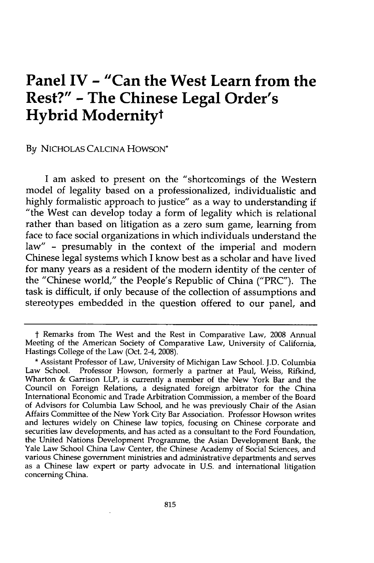## **Panel IV - "Can the West Learn from the Rest?" - The Chinese Legal Order's Hybrid Modernityt**

#### **By** NICHOLAS CALCINA HOWSON\*

I am asked to present on the "shortcomings of the Western model of legality based on a professionalized, individualistic and highly formalistic approach to justice" as a way to understanding if "the West can develop today a form of legality which is relational rather than based on litigation as a zero sum game, learning from face to face social organizations in which individuals understand the law" - presumably in the context of the imperial and modem Chinese legal systems which I know best as a scholar and have lived for many years as a resident of the modem identity of the center of the "Chinese world," the People's Republic of China ("PRC"). The task is difficult, if only because of the collection of assumptions and stereotypes embedded in the question offered to our panel, and

t Remarks from The West and the Rest in Comparative Law, 2008 Annual Meeting of the American Society of Comparative Law, University of California, Hastings College of the Law (Oct. 2-4, 2008).

**<sup>\*</sup>** Assistant Professor of Law, University of Michigan Law School. J.D. Columbia Law School. Professor Howson, formerly a partner at Paul, Weiss, Rifkind, Wharton **&** Garrison LLP, is currently a member of the New York Bar and the Council on Foreign Relations, a designated foreign arbitrator for the China International Economic and Trade Arbitration Commission, a member of the Board of Advisors for Columbia Law School, and he was previously Chair of the Asian Affairs Committee of the New York City Bar Association. Professor Howson writes and lectures widely on Chinese law topics, focusing on Chinese corporate and securities law developments, and has acted as a consultant to the Ford Foundation, the United Nations Development Programme, the Asian Development Bank, the Yale Law School China Law Center, the Chinese Academy of Social Sciences, and various Chinese government ministries and administrative departments and serves as a Chinese law expert or party advocate in U.S. and international litigation concerning China.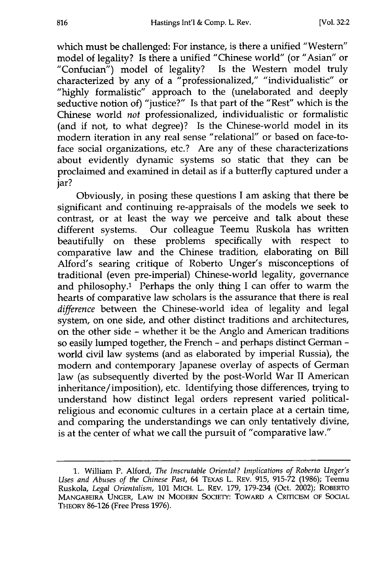which must be challenged: For instance, is there a unified "Western" model of legality? Is there a unified "Chinese world" (or "Asian" or "Confucian") model of legality? Is the Western model truly characterized by any of a "professionalized," "individualistic" or **"highly** formalistic" approach to the (unelaborated and deeply seductive notion of) "justice?" Is that part of the "Rest" which is the Chinese world *not* professionalized, individualistic or formalistic (and if not, to what degree)? Is the Chinese-world model in its modern iteration in any real sense "relational" or based on face-toface social organizations, etc.? Are any of these characterizations about evidently dynamic systems so static that they can be proclaimed and examined in detail as if a butterfly captured under a jar?

Obviously, in posing these questions I am asking that there be significant and continuing re-appraisals of the models we seek to contrast, or at least the way we perceive and talk about these different systems. Our colleague Teemu Ruskola has written beautifully on these problems specifically with respect to comparative law and the Chinese tradition, elaborating on Bill Alford's searing critique of Roberto Unger's misconceptions of traditional (even pre-imperial) Chinese-world legality, governance and philosophy.' Perhaps the only thing I can offer to warm the hearts of comparative law scholars is the assurance that there is real *difference* between the Chinese-world idea of legality and legal system, on one side, and other distinct traditions and architectures, on the other side - whether it be the Anglo and American traditions so easily lumped together, the French - and perhaps distinct German world civil law systems (and as elaborated by imperial Russia), the modern and contemporary Japanese overlay of aspects of German law (as subsequently diverted by the post-World War II American inheritance/imposition), etc. Identifying those differences, trying to understand how distinct legal orders represent varied politicalreligious and economic cultures in a certain place at a certain time, and comparing the understandings we can only tentatively divine, is at the center of what we call the pursuit of "comparative law."

<sup>1.</sup> William P. Alford, *The Inscrutable Oriental? Implications of Roberto Unger's Uses and Abuses of the Chinese Past,* 64 TEXAS L. REV. 915, 915-72 (1986); Teemu Ruskola, *Legal Orientalism,* 101 MICH. L. REV. 179, 179-234 (Oct. 2002); ROBERTO MANGABEIRA UNGER, LAW IN MODERN SOCIETY: TOWARD A CRITICISM OF SOCIAL THEORY 86-126 (Free Press 1976).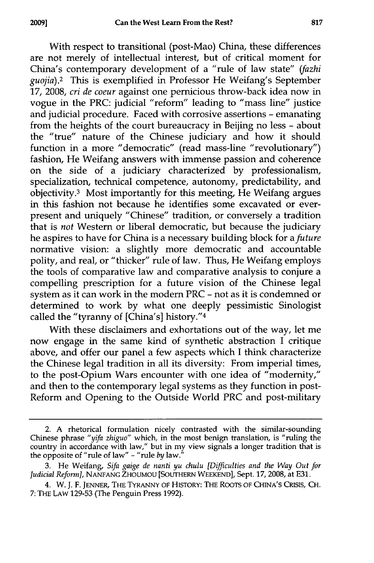With respect to transitional (post-Mao) China, these differences are not merely of intellectual interest, but of critical moment for China's contemporary development of a "rule of law state" *(fazhi guojia).2* This is exemplified in Professor He Weifang's September 17, 2008, *cri de coeur* against one pernicious throw-back idea now in vogue in the PRC: judicial "reform" leading to "mass line" justice and judicial procedure. Faced with corrosive assertions - emanating from the heights of the court bureaucracy in Beijing no less - about the "true" nature of the Chinese judiciary and how it should function in a more "democratic" (read mass-line "revolutionary") fashion, He Weifang answers with immense passion and coherence on the side of a judiciary characterized by professionalism, specialization, technical competence, autonomy, predictability, and  $\alpha$ bjectivity.<sup>3</sup> Most importantly for this meeting, He Weifang argues in this fashion not because he identifies some excavated or everpresent and uniquely "Chinese" tradition, or conversely a tradition that is *not* Western or liberal democratic, but because the judiciary he aspires to have for China is a necessary building block for *a future* normative vision: a slightly more democratic and accountable polity, and real, or "thicker" rule of law. Thus, He Weifang employs the tools of comparative law and comparative analysis to conjure a compelling prescription for a future vision of the Chinese legal system as it can work in the modern PRC - not as it is condemned or determined to work by what one deeply pessimistic Sinologist called the "tyranny of [China's] history."<sup>4</sup>

With these disclaimers and exhortations out of the way, let me now engage in the same kind of synthetic abstraction  $\vec{l}$  critique above, and offer our panel a few aspects which I think characterize the Chinese legal tradition in all its diversity: From imperial times, to the post-Opium Wars encounter with one idea of "modernity," and then to the contemporary legal systems as they function in post-Reform and Opening to the Outside World PRC and post-military

<sup>2.</sup> A rhetorical formulation nicely contrasted with the similar-sounding Chinese phrase "yifa *zhiguo"* which, in the most benign translation, is "ruling the country in accordance with law," but in my view signals a longer tradition that is the opposite of "rule of law" - "rule *by* law."

<sup>3.</sup> He Weifang, Sifa *gaige de nanti yu chulu [Difficulties and the Way Out for Judicial Reforn],* NANFANG ZHOUMOU [SOUTHERN **WEEKEND],** Sept. **17,2008,** at E31.

<sup>4.</sup> W. **J. F. JENNER,** THE TYRANNY OF HISTORY: THE RooTS OF CHINA'S CRISIS, **CH.** 7: THE LAW 129-53 (The Penguin Press 1992).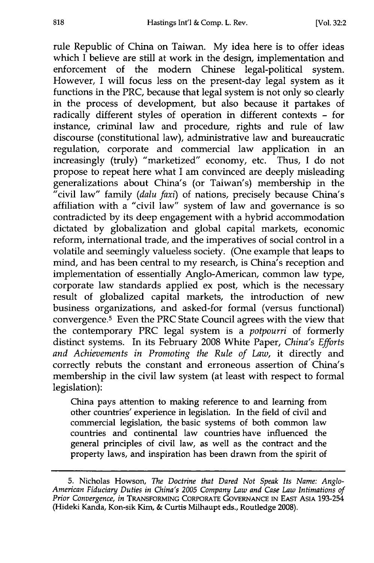rule Republic of China on Taiwan. **My** idea here is to offer ideas which I believe are still at work in the design, implementation and enforcement of the modem Chinese legal-political system. However, I will focus less on the present-day legal system as it functions in the PRC, because that legal system is not only so clearly in the process of development, but also because it partakes of radically different styles of operation in different contexts - for instance, criminal law and procedure, rights and rule of law discourse (constitutional law), administrative law and bureaucratic regulation, corporate and commercial law application in an increasingly (truly) "marketized" economy, etc. Thus, I do not propose to repeat here what I am convinced are deeply misleading generalizations about China's (or Taiwan's) membership in the "civil law" family *(dalu faxi)* of nations, precisely because China's affiliation with a "civil law" system of law and governance is so contradicted by its deep engagement with a hybrid accommodation dictated by globalization and global capital markets, economic reform, international trade, and the imperatives of social control in a volatile and seemingly valueless society. (One example that leaps to mind, and has been central to my research, is China's reception and implementation of essentially Anglo-American, common law type, corporate law standards applied ex post, which is the necessary result of globalized capital markets, the introduction of new business organizations, and asked-for formal (versus functional) convergence.<sup>5</sup> Even the PRC State Council agrees with the view that the contemporary PRC legal system is a *potpourri* of formerly distinct systems. In its February 2008 White Paper, *China's Efforts* and Achievements in Promoting the Rule of Law, it directly and correctly rebuts the constant and erroneous assertion of China's membership in the civil law system (at least with respect to formal legislation):

China pays attention to making reference to and learning from other countries' experience in legislation. In the field of civil and commercial legislation, the basic systems of both common law countries and continental law countries have influenced the general principles of civil law, as well as the contract and the property laws, and inspiration has been drawn from the spirit of

<sup>5.</sup> Nicholas Howson, *The Doctrine that Dared Not Speak Its Name: Anglo-American Fiduciary Duties in China's 2005 Company Law and Case Law Intimations of Prior Convergence, in* TRANSFORMING CORPORATE GOVERNANCE IN EAST ASIA 193-254 (Hideki Kanda, Kon-sik Kim, & Curtis Milhaupt eds., Routledge 2008).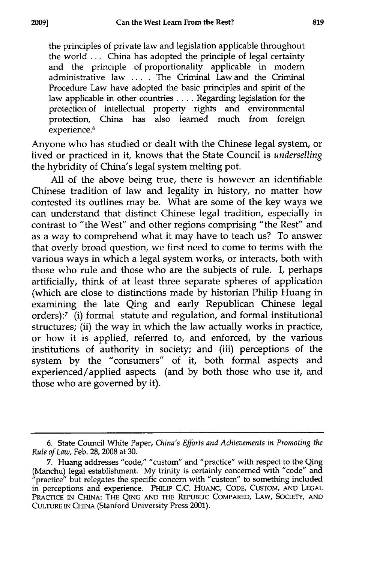the principles of private law and legislation applicable throughout the world ... China has adopted the principle of legal certainty and the principle of proportionality applicable in modem administrative law .... The Criminal Law and the Criminal Procedure Law have adopted the basic principles and spirit of the law applicable in other countries .... Regarding legislation for the protection of intellectual property rights and environmental protection, China has also learned much from foreign experience.<sup>6</sup>

Anyone who has studied or dealt with the Chinese legal system, or lived or practiced in it, knows that the State Council is *underselling* the hybridity of China's legal system melting pot.

All of the above being true, there is however an identifiable Chinese tradition of law and legality in history, no matter how contested its outlines may be. What are some of the key ways we can understand that distinct Chinese legal tradition, especially in contrast to "the West" and other regions comprising "the Rest" and as a way to comprehend what it may have to teach us? To answer that overly broad question, we first need to come to terms with the various ways in which a legal system works, or interacts, both with those who rule and those who are the subjects of rule. I, perhaps artificially, think of at least three separate spheres of application (which are close to distinctions made by historian Philip Huang in examining the late Qing and early Republican Chinese legal orders):7 (i) formal statute and regulation, and formal institutional structures; (ii) the way in which the law actually works in practice, or how it is applied, referred to, and enforced, by the various institutions of authority in society; and (iii) perceptions of the system by the "consumers" of it, both formal aspects and experienced/applied aspects (and by both those who use it, and those who are governed by it).

<sup>6.</sup> State Council White Paper, *China's Efforts and Achievements in Promoting the Rule of Law,* Feb. 28, 2008 at 30.

<sup>7.</sup> Huang addresses "code," "custom" and "practice" with respect to the Qing (Manchu) legal establishment. **My** trinity is certainly concerned with "code" and "practice" but relegates the specific concern with "custom" to something included in perceptions and experience. PHILIP **C.C. HUANG, CODE, CUSTOM, AND LEGAL** PRACTICE **IN** CHINA: **THE QING AND THE** REPUBLIC COMPARED, LAW, SOCIETY, **AND CULTURE** IN CHINA (Stanford University Press 2001).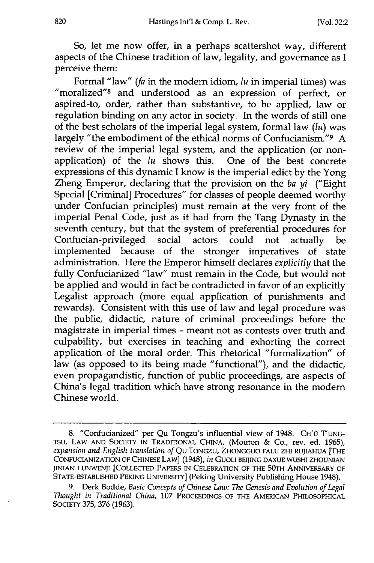**So,** let me now offer, in a perhaps scattershot way, different aspects of the Chinese tradition of law, legality, and governance as I perceive them:

Formal "law" *(fa* in the modem idiom, *lu* in imperial times) was "moralized"<sup>8</sup> and understood as an expression of perfect, or aspired-to, order, rather than substantive, to be applied, law or regulation binding on any actor in society. In the words of still one of the best scholars of the imperial legal system, formal law *(lu)* was largely "the embodiment of the ethical norms of Confucianism."<sup>9</sup> A review of the imperial legal system, and the application (or nonapplication) of the *lu* shows this. One of the best concrete expressions of this dynamic I know is the imperial edict by the Yong Zheng Emperor, declaring that the provision on the *ba yi* ("Eight Special [Criminal] Procedures" for classes of people deemed worthy under Confucian principles) must remain at the very front of the imperial Penal Code, just as it had from the Tang Dynasty in the seventh century, but that the system of preferential procedures for Confucian-privileged social actors could not actually be implemented because of the stronger imperatives of state administration. Here the Emperor himself declares *explicitly* that the fully Confucianized "law" must remain in the Code, but would not be applied and would in fact be contradicted in favor of an explicitly Legalist approach (more equal application of punishments and rewards). Consistent with this use of law and legal procedure was the public, didactic, nature of criminal proceedings before the magistrate in imperial times - meant not as contests over truth and culpability, but exercises in teaching and exhorting the correct application of the moral order. This rhetorical "formalization" of law (as opposed to its being made "functional"), and the didactic, even propagandistic, function of public proceedings, are aspects of China's legal tradition which have strong resonance in the modern Chinese world.

<sup>8. &</sup>quot;Confucianized" per Qu Tongzu's influential view of 1948. CH'O T'UNG-*TSu,* LAW AND SOCIETY IN TRADITIONAL CHINA, (Mouton & Co., rev. ed. 1965), *expansion and English translation of* Qu TONGZU, ZHONGGUO FALU ZHI RUJIAHUA [THE CONFUCIANIZATION OF CHINESE LAW] (1948), *in* GUOLI BEIJING DAXUE WUSHI ZHOUNIAN JINIAN **LUNWENJI** [COLLECTED PAPERS IN CELEBRATION OF THE 50rH ANNIVERSARY OF STATE-ESTABLISHED PEKING UNIVERSITY] (Peking University Publishing House 1948).

<sup>9.</sup> Derk Bodde, *Basic Concepts of Chinese Law: The Genesis and Evolution of Legal Thought in Traditional China,* 107 PROCEEDINGS OF THE AMERICAN PHILOSOPHICAL SOCIETY 375, 376 (1963).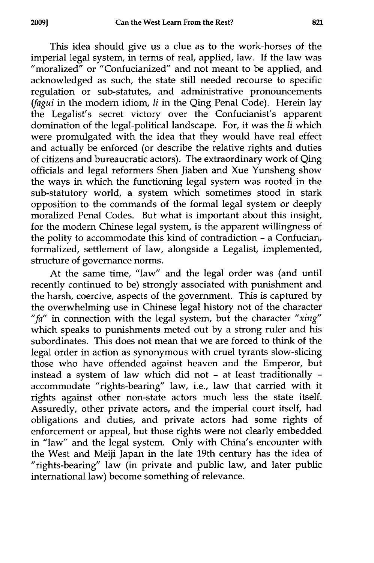This idea should give us a clue as to the work-horses of the imperial legal system, in terms of real, applied, law. If the law was "moralized" or "Confucianized" and not meant to be applied, and acknowledged as such, the state still needed recourse to specific regulation or sub-statutes, and administrative pronouncements *(fagui* in the modem idiom, *1i* in the Qing Penal Code). Herein lay the Legalist's secret victory over the Confucianist's apparent domination of the legal-political landscape. For, it was the *1i* which were promulgated with the idea that they would have real effect and actually be enforced (or describe the relative rights and duties of citizens and bureaucratic actors). The extraordinary work of Qing officials and legal reformers Shen Jiaben and Xue Yunsheng show the ways in which the functioning legal system was rooted in the sub-statutory world, a system which sometimes stood in stark opposition to the commands of the formal legal system or deeply moralized Penal Codes. But what is important about this insight, for the modern Chinese legal system, is the apparent willingness of the polity to accommodate this kind of contradiction **-** a Confucian, formalized, settlement of law, alongside a Legalist, implemented, structure of governance norms.

At the same time, "law" and the legal order was (and until recently continued to be) strongly associated with punishment and the harsh, coercive, aspects of the government. This is captured by the overwhelming use in Chinese legal history not of the character "fa" in connection with the legal system, but the character "xing" which speaks to punishments meted out by a strong ruler and his subordinates. This does not mean that we are forced to think of the legal order in action as synonymous with cruel tyrants slow-slicing those who have offended against heaven and the Emperor, but instead a system of law which did not **-** at least traditionally  accommodate "rights-bearing" law, i.e., law that carried with it rights against other non-state actors much less the state itself. Assuredly, other private actors, and the imperial court itself, had obligations and duties, and private actors had some rights of enforcement or appeal, but those rights were not clearly embedded in "law" and the legal system. Only with China's encounter with the West and Meiji Japan in the late 19th century has the idea of "rights-bearing" law (in private and public law, and later public international law) become something of relevance.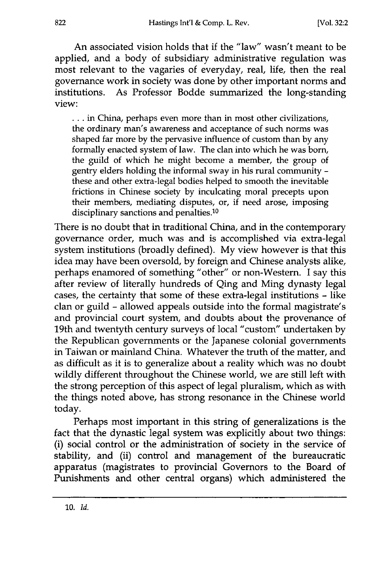An associated vision holds that if the "law" wasn't meant to be applied, and a body of subsidiary administrative regulation was most relevant to the vagaries of everyday, real, life, then the real governance work in society was done by other important norms and institutions. As Professor Bodde summarized the long-standing view:

**...** in China, perhaps even more than in most other civilizations, the ordinary man's awareness and acceptance of such norms was shaped far more by the pervasive influence of custom than by any formally enacted system of law. The clan into which he was born, the guild of which he might become a member, the group of gentry elders holding the informal sway in his rural community these and other extra-legal bodies helped to smooth the inevitable frictions in Chinese society by inculcating moral precepts upon their members, mediating disputes, or, if need arose, imposing disciplinary sanctions and penalties.<sup>10</sup>

There is no doubt that in traditional China, and in the contemporary governance order, much was and is accomplished via extra-legal system institutions (broadly defined). My view however is that this idea may have been oversold, by foreign and Chinese analysts alike, perhaps enamored of something "other" or non-Western. I say this after review of literally hundreds of Qing and Ming dynasty legal cases, the certainty that some of these extra-legal institutions **-** like clan or guild - allowed appeals outside into the formal magistrate's and provincial court system, and doubts about the provenance of 19th and twentyth century surveys of local "custom" undertaken by the Republican governments or the Japanese colonial governments in Taiwan or mainland China. Whatever the truth of the matter, and as difficult as it is to generalize about a reality which was no doubt wildly different throughout the Chinese world, we are still left with the strong perception of this aspect of legal pluralism, which as with the things noted above, has strong resonance in the Chinese world today.

Perhaps most important in this string of generalizations is the fact that the dynastic legal system was explicitly about two things: (i) social control or the administration of society in the service of stability, and (ii) control and management of the bureaucratic apparatus (magistrates to provincial Governors to the Board of Punishments and other central organs) which administered the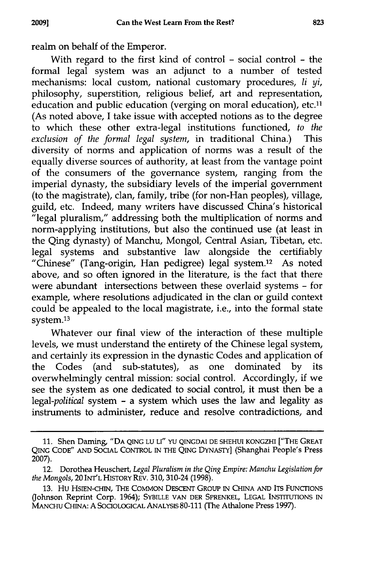realm on behalf of the Emperor.

With regard to the first kind of control **-** social control **-** the formal legal system was an adjunct to a number of tested mechanisms: local custom, national customary procedures, li *yi,* philosophy, superstition, religious belief, art and representation, education and public education (verging on moral education), etc.<sup>11</sup> (As noted above, I take issue with accepted notions as to the degree to which these other extra-legal institutions functioned, *to the exclusion of the formal legal system,* in traditional China.) This diversity of norms and application of norms was a result of the equally diverse sources of authority, at least from the vantage point of the consumers of the governance system, ranging from the imperial dynasty, the subsidiary levels of the imperial government (to the magistrate), clan, family, tribe (for non-Han peoples), village, guild, etc. Indeed, many writers have discussed China's historical  $\tilde{H}$ legal pluralism," addressing both the multiplication of norms and norm-applying institutions, but also the continued use (at least in the Qing dynasty) of Manchu, Mongol, Central Asian, Tibetan, etc. legal systems and substantive law alongside the certifiably "Chinese" (Tang-origin, Han pedigree) legal system.12 As noted above, and so often ignored in the literature, is the fact that there were abundant intersections between these overlaid systems - for example, where resolutions adjudicated in the clan or guild context could be appealed to the local magistrate, i.e., into the formal state system.<sup>13</sup>

Whatever our final view of the interaction of these multiple levels, we must understand the entirety of the Chinese legal system, and certainly its expression in the dynastic Codes and application of the Codes (and sub-statutes), as one dominated by its overwhelmingly central mission: social control. Accordingly, if we see the system as one dedicated to social control, it must then be a *legal-political* system - a system which uses the law and legality as instruments to administer, reduce and resolve contradictions, and

**<sup>11.</sup>** Shen Darning, **"DA QING LU LI" YU QINGDAI DE** SHEHUI KONGZHI ["THE GREAT **QING CODE" AND SOCIAL CONTROL IN THE QING DYNASTY] (Shanghai People's Press 2007).**

<sup>12.</sup> Dorothea **Heuschert,** *Legal Pluralism in the Qing Empire: Manchu Legislation for the Mongols,* 20 INT'L HISTORY REV. **310,** 310-24 **(1998).**

**<sup>13.</sup>** Hu HSIEN-CHiN, THE **COMMON** DESCENT GROUP IN CHINA **AND** ITS FUNCTIONS **(Johnson Reprint Corp.** 1964); **SYBILLE VAN DER SPRENKEL, LEGAL INSTITUTIONS** IN **MANCHU CHINA: A SOCOLOGICAL** ANALYSIS **80-111 (The Athalone Press 1997).**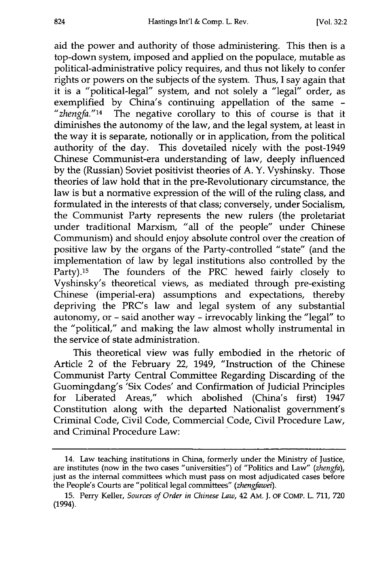aid the power and authority of those administering. This then is a top-down system, imposed and applied on the populace, mutable as political-administrative policy requires, and thus not likely to confer rights or powers on the subjects of the system. Thus, I say again that it is a "political-legal" system, and not solely a "legal" order, as<br>exemplified by China's continuing appellation of the same -"zhengfa."<sup>14</sup> The negative corollary to this of course is that it diminishes the autonomy of the law, and the legal system, at least in the way it is separate, notionally or in application, from the political authority of the day. This dovetailed nicely with the post-1949 Chinese Communist-era understanding of law, deeply influenced by the (Russian) Soviet positivist theories of A. Y. Vyshinsky. Those theories of law hold that in the pre-Revolutionary circumstance, the law is but a normative expression of the will of the ruling class, and formulated in the interests of that class; conversely, under Socialism, the Communist Party represents the new rulers (the proletariat under traditional Marxism, "all of the people" under Chinese Communism) and should enjoy absolute control over the creation of positive law by the organs of the Party-controlled "state" (and the implementation of law by legal institutions also controlled by the Party).<sup>15</sup> The founders of the PRC hewed fairly closely to Vyshinsky's theoretical views, as mediated through pre-existing Chinese (imperial-era) assumptions and expectations, thereby depriving the PRC's law and legal system of any substantial autonomy, or - said another way - irrevocably linking the "legal" to the "political," and making the law almost wholly instrumental in the service of state administration.

This theoretical view was fully embodied in the rhetoric of Article 2 of the February 22, 1949, "Instruction of the Chinese Communist Party Central Committee Regarding Discarding of the Guomingdang's 'Six Codes' and Confirmation of Judicial Principles for Liberated Areas," which abolished (China's first) 1947 Constitution along with the departed Nationalist government's Criminal Code, Civil Code, Commercial Code, Civil Procedure Law, and Criminal Procedure Law:

<sup>14.</sup> Law teaching institutions in China, formerly under the Ministry of Justice, are institutes (now in the two cases "universities") of "Politics and Law" *(zhengfa),* just as the internal committees which must pass on most adjudicated cases before the People's Courts are "political legal committees" *(zhengfawei).*

<sup>15.</sup> Perry Keller, *Sources of Order in Chinese Law,* 42 AM. J. OF COMP. L. 711, 720 (1994).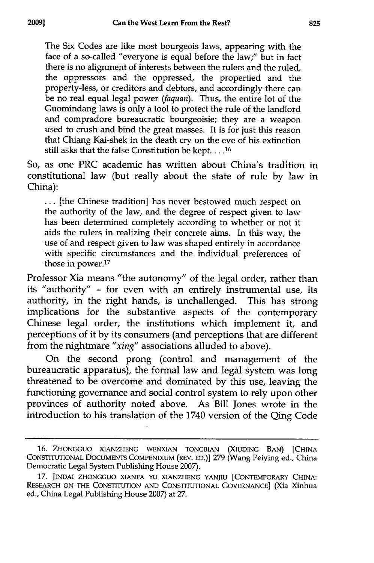The Six Codes are like most bourgeois laws, appearing with the face of a so-called "everyone is equal before the law;" but in fact there is no alignment of interests between the rulers and the ruled, the oppressors and the oppressed, the propertied and the property-less, or creditors and debtors, and accordingly there can be no real equal legal power *(faquan).* Thus, the entire lot of the Guomindang laws is only a tool to protect the rule of the landlord and compradore bureaucratic bourgeoisie; they are a weapon used to crush and bind the great masses. It is for just this reason that Chiang Kai-shek in the death cry on the eve of his extinction still asks that the false Constitution be kept. . . .<sup>16</sup>

So, as one PRC academic has written about China's tradition in constitutional law (but really about the state of rule by law in China):

... [the Chinese tradition] has never bestowed much respect on the authority of the law, and the degree of respect given to law has been determined completely according to whether or not it aids the rulers in realizing their concrete aims. In this way, the use of and respect given to law was shaped entirely in accordance with specific circumstances and the individual preferences of those in power.<sup>17</sup>

Professor Xia means "the autonomy" of the legal order, rather than its "authority" - for even with an entirely instrumental use, its authority, in the right hands, is unchallenged. This has strong implications for the substantive aspects of the contemporary Chinese legal order, the institutions which implement it, and perceptions of it by its consumers (and perceptions that are different from the nightmare *"xing"* associations alluded to above).

On the second prong (control and management of the bureaucratic apparatus), the formal law and legal system was long threatened to be overcome and dominated by this use, leaving the functioning governance and social control system to rely upon other provinces of authority noted above. As Bill Jones wrote in the introduction to his translation of the 1740 version of the Qing Code

**<sup>16.</sup>** ZHONGGUO XIANZHENG WENXIAN TONGBIAN (XIUDING BAN) [CHINA CONSTITUTIONAL DOCUMENTS **COMPENDIUM** (REV. ED.)] **279** (Wang Peiying ed., China Democratic Legal System Publishing House **2007).**

**<sup>17.</sup>** JINDAI **ZHONGGUO XIANFA YU XIANZHENG** YANJIU [CONTEMPORARY **CHINA:** RESEARCH **ON** THE CONSTITUTION **AND CONSTITUTIONAL GOVERNANCE]** (Xia Xinhua ed., China Legal Publishing House **2007)** at **27.**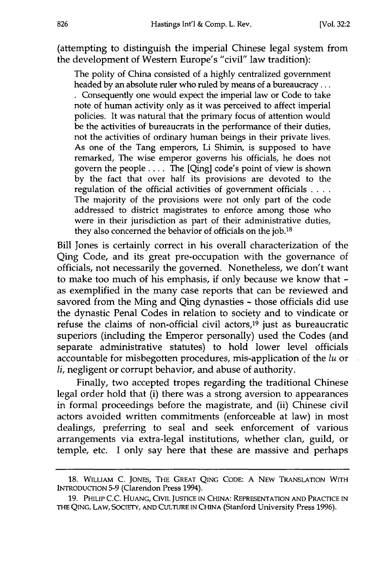(attempting to distinguish the imperial Chinese legal system from the development of Western Europe's "civil" law tradition):

The polity of China consisted of a highly centralized government headed by an absolute ruler who ruled by means of a bureaucracy...

Consequently one would expect the imperial law or Code to take note of human activity only as it was perceived to affect imperial policies. It was natural that the primary focus of attention would be the activities of bureaucrats in the performance of their duties, not the activities of ordinary human beings in their private lives. As one of the Tang emperors, Li Shimin, is supposed to have remarked, The wise emperor governs his officials, he does not govern the people .... The [Qing] code's point of view is shown by the fact that over half its provisions are devoted to the regulation of the official activities of government officials **....** The majority of the provisions were not only part of the code addressed to district magistrates to enforce among those who were in their jurisdiction as part of their administrative duties, they also concerned the behavior of officials on the job.<sup>18</sup>

Bill Jones is certainly correct in his overall characterization of the Qing Code, and its great pre-occupation with the governance of officials, not necessarily the governed. Nonetheless, we don't want to make too much of his emphasis, if only because we know that as exemplified in the many case reports that can be reviewed and savored from the Ming and Qing dynasties  $\sim$  those officials did use the dynastic Penal Codes in relation to society and to vindicate or refuse the claims of non-official civil actors,<sup>19</sup> just as bureaucration superiors (including the Emperor personally) used the Codes (and separate administrative statutes) to hold lower level officials accountable for misbegotten procedures, mis-application of the *lu* or li, negligent or corrupt behavior, and abuse of authority.

Finally, two accepted tropes regarding the traditional Chinese legal order hold that (i) there was a strong aversion to appearances in formal proceedings before the magistrate, and (ii) Chinese civil actors avoided written commitments (enforceable at law) in most dealings, preferring to seal and seek enforcement of various arrangements via extra-legal institutions, whether clan, guild, or temple, etc. I only say here that these are massive and perhaps

**<sup>18.</sup>** WILLIAM C. JONES, THE GREAT **QING CODE: A** NEW TRANSLATION WITH INTRODUcTION 5-9 (Clarendon Press 1994).

**<sup>19.</sup>** PHILIP C.C. HUANG, CIVIL JUSTICE IN CHINA: REPRESENTATION AND PRACTICE IN **THE** QING, LAW, SOCIETY, AND **CULTURE IN** CHINA (Stanford University Press 1996).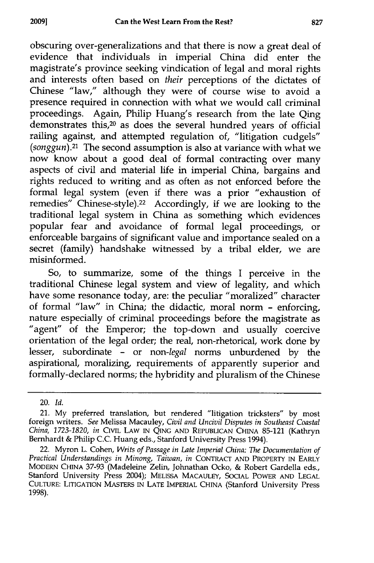obscuring over-generalizations and that there is now a great deal of evidence that individuals in imperial China did enter the magistrate's province seeking vindication of legal and moral rights and interests often based on *their* perceptions of the dictates of Chinese "law," although they were of course wise to avoid a presence required in connection with what we would call criminal proceedings. Again, Philip Huang's research from the late Qing demonstrates this,<sup>20</sup> as does the several hundred years of official railing against, and attempted regulation of, "litigation cudgels" *(songgun).21* The second assumption is also at variance with what we now know about a good deal of formal contracting over many aspects of civil and material life in imperial China, bargains and rights reduced to writing and as often as not enforced before the formal legal system (even if there was a prior "exhaustion of remedies" Chinese-style).<sup>22</sup> Accordingly, if we are looking to the traditional legal system in China as something which evidences popular fear and avoidance of formal legal proceedings, or enforceable bargains of significant value and importance sealed on a secret (family) handshake witnessed by a tribal elder, we are misinformed.

So, to summarize, some of the things I perceive in the traditional Chinese legal system and view of legality, and which have some resonance today, are: the peculiar "moralized" character of formal "law" in China; the didactic, moral norm - enforcing, nature especially of criminal proceedings before the magistrate as "agent" of the Emperor; the top-down and usually coercive orientation of the legal order; the real, non-rhetorical, work done by lesser, subordinate - or *non-legal* norms unburdened by the aspirational, moralizing, requirements of apparently superior and formally-declared norms; the hybridity and pluralism of the Chinese

<sup>20.</sup> *Id.*

<sup>21.</sup> **My** preferred translation, but rendered "litigation tricksters" **by** most foreign writers. *See* Melissa Macauley, *Civil and Uncivil Disputes in Southeast Coastal China, 1723-1820, in* **CIVIL** LAW IN **QING** AND REPUBLICAN CHINA **85-121** (Kathryn Bernhardt **&** Philip **C.C.** Huang eds., Stanford University Press 1994).

<sup>22.</sup> Myron L. Cohen, *Writs of Passage in Late Imperial China:* **The** *Documentation of Practical Understandings in Minong, Taiwan, in* CONTRACT AND PROPERTY **IN** EARLY MODERN CHINA **37-93** (Madeleine Zelin, Johnathan Ocko, **&** Robert Gardella eds., Stanford University Press 2004); **MELISSA MACAULEY, SOCIAL** POWER **AND LEGAL** CULTURE: LITIGATION MASTERS IN LATE IMPERIAL **CHINA** (Stanford University Press 1998).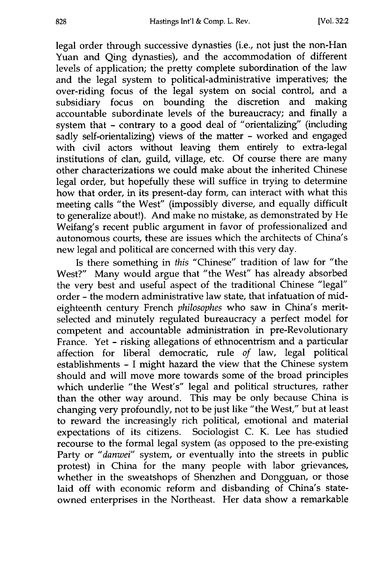legal order through successive dynasties (i.e., not just the non-Han Yuan and Qing dynasties), and the accommodation of different levels of application; the pretty complete subordination of the law and the legal system to political-administrative imperatives; the over-riding focus of the legal system on social control, and a subsidiary focus on bounding the discretion and making accountable subordinate levels of the bureaucracy; and finally a system that - contrary to a good deal of "orientalizing" (including sadly self-orientalizing) views of the matter - worked and engaged with civil actors without leaving them entirely to extra-legal institutions of clan, guild, village, etc. Of course there are many other characterizations we could make about the inherited Chinese legal order, but hopefully these will suffice in trying to determine how that order, in its present-day form, can interact with what this meeting calls "the West" (impossibly diverse, and equally difficult to generalize about!). And make no mistake, as demonstrated by He Weifang's recent public argument in favor of professionalized and autonomous courts, these are issues which the architects of China's new legal and political are concerned with this very day.

Is there something in *this* "Chinese" tradition of law for "the West?" Many would argue that "the West" has already absorbed the very best and useful aspect of the traditional Chinese "legal" order - the modem administrative law state, that infatuation of mideighteenth century French *philosophes* who saw in China's meritselected and minutely regulated bureaucracy a perfect model for competent and accountable administration in pre-Revolutionary France. Yet - risking allegations of ethnocentrism and a particular affection for liberal democratic, rule *of* law, legal political establishments - I might hazard the view that the Chinese system should and will move more towards some of the broad principles which underlie "the West's" legal and political structures, rather than the other way around. This may be only because China is changing very profoundly, not to be just like "the West," but at least to reward the increasingly rich political, emotional and material expectations of its citizens. Sociologist C. K. Lee has studied recourse to the formal legal system (as opposed to the pre-existing Party or *"danwei"* system, or eventually into the streets in public protest) in China for the many people with labor grievances whether in the sweatshops of Shenzhen and Dongguan, or those laid off with economic reform and disbanding of China's stateowned enterprises in the Northeast. Her data show a remarkable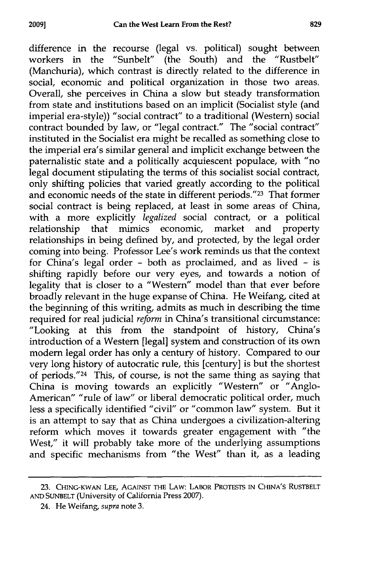difference in the recourse (legal vs. political) sought between workers in the "Sunbelt" (the South) and the "Rustbelt" (Manchuria), which contrast is directly related to the difference in social, economic and political organization in those two areas. Overall, she perceives in China a slow but steady transformation from state and institutions based on an implicit (Socialist style (and imperial era-style)) "social contract" to a traditional (Western) social contract bounded by law, or "legal contract." The "social contract" instituted in the Socialist era might be recalled as something close to the imperial era's similar general and implicit exchange between the paternalistic state and a politically acquiescent populace, with "no legal document stipulating the terms of this socialist social contract, only shifting policies that varied greatly according to the political and economic needs of the state in different periods."<sup>23</sup> That former social contract is being replaced, at least in some areas of China, with a more explicitly *legalized* social contract, or a political relationship that mimics economic, market and property relationships in being defined by, and protected, by the legal order coming into being. Professor Lee's work reminds us that the contex for China's legal order - both as proclaimed, and as lived - is shifting rapidly before our very eyes, and towards a notion of legality that is closer to a "Western" model than that ever before broadly relevant in the huge expanse of China. He Weifang, cited at the beginning of this writing, admits as much in describing the time required for real judicial *reform* in China's transitional circumstance: "Looking at this from the standpoint of history, China's introduction of a Western [legal] system and construction of its own modern legal order has only a century of history. Compared to our very long history of autocratic rule, this [century] is but the shortest of periods." 24 This, of course, is not the same thing as saying that China is moving towards an explicitly "Western" or "Anglo-American" "rule of law" or liberal democratic political order, much less a specifically identified "civil" or "common law" system. But it is an attempt to say that as China undergoes a civilization-altering reform which moves it towards greater engagement with "the West," it will probably take more of the underlying assumptions and specific mechanisms from "the West" than it, as a leading

**<sup>23.</sup>** CHING-KWAN **LEE,** AGAINST THE LAW: LABOR PROTESTS **IN** CHINA'S RUSTBELT **AND** SUNBELT (University of California Press 2007).

<sup>24.</sup> He Weifang, supra note 3.